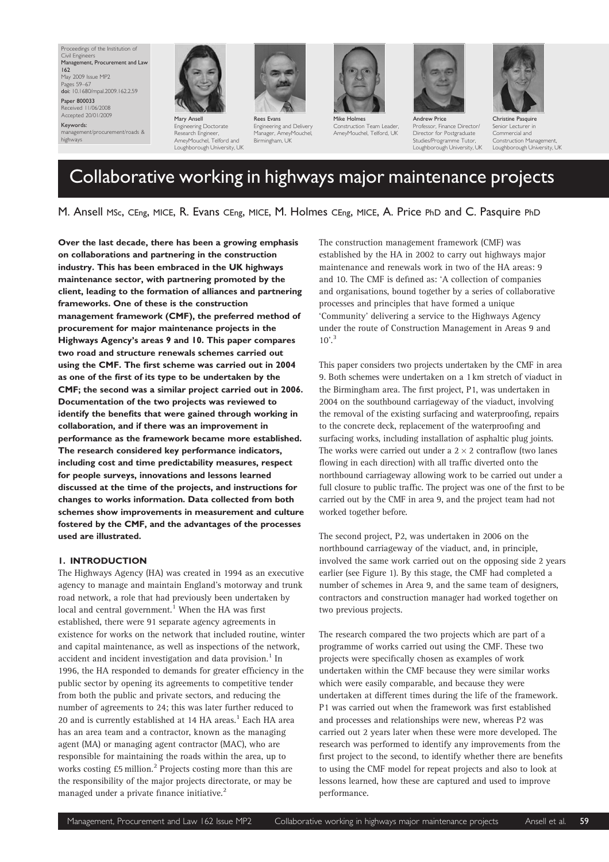

management/procurement/roads & highways



Mary Ansell Engineering Doctorate Research Engineer, AmeyMouchel, Telford and Loughborough University, UK Rees Evans



Engineering and Delivery Manager, AmeyMouchel, Birmingham, UK Mike Holmes Construction AmeyMouchel, Telford, UK



Andrew Price Professor, Finance Director/ Director for Postgraduate Studies/Programme Tutor, Loughborough University, UK



Christine Pasquire .<br>enior Lecturer Commercial and Construction Management, Loughborough University, UK

# Collaborative working in highways major maintenance projects

M. Ansell MSc, CEng, MICE, R. Evans CEng, MICE, M. Holmes CEng, MICE, A. Price PhD and C. Pasquire PhD

Over the last decade, there has been a growing emphasis on collaborations and partnering in the construction industry. This has been embraced in the UK highways maintenance sector, with partnering promoted by the client, leading to the formation of alliances and partnering frameworks. One of these is the construction management framework (CMF), the preferred method of procurement for major maintenance projects in the Highways Agency's areas 9 and 10. This paper compares two road and structure renewals schemes carried out using the CMF. The first scheme was carried out in 2004 as one of the first of its type to be undertaken by the CMF; the second was a similar project carried out in 2006. Documentation of the two projects was reviewed to identify the benefits that were gained through working in collaboration, and if there was an improvement in performance as the framework became more established. The research considered key performance indicators, including cost and time predictability measures, respect for people surveys, innovations and lessons learned discussed at the time of the projects, and instructions for changes to works information. Data collected from both schemes show improvements in measurement and culture fostered by the CMF, and the advantages of the processes used are illustrated.

## 1. INTRODUCTION

The Highways Agency (HA) was created in 1994 as an executive agency to manage and maintain England's motorway and trunk road network, a role that had previously been undertaken by local and central government.<sup>[1](#page-7-0)</sup> When the HA was first established, there were 91 separate agency agreements in existence for works on the network that included routine, winter and capital maintenance, as well as inspections of the network, accident and incident investigation and data provision.<sup>[1](#page-7-0)</sup> In 1996, the HA responded to demands for greater efficiency in the public sector by opening its agreements to competitive tender from both the public and private sectors, and reducing the number of agreements to 24; this was later further reduced to 20 and is currently established at  $14$  $14$  HA areas.<sup>1</sup> Each HA area has an area team and a contractor, known as the managing agent (MA) or managing agent contractor (MAC), who are responsible for maintaining the roads within the area, up to works costing £5 million[.](#page-7-0)<sup>2</sup> Projects costing more than this are the responsibility of the major projects directorate, or may be managed under a private finance initiative.<sup>[2](#page-7-0)</sup>

The construction management framework (CMF) was established by the HA in 2002 to carry out highways major maintenance and renewals work in two of the HA areas: 9 and 10. The CMF is defined as: 'A collection of companies and organisations, bound together by a series of collaborative processes and principles that have formed a unique 'Community' delivering a service to the Highways Agency under the route of Construction Management in Areas 9 and  $10^{3}$  $10^{3}$  $10^{3}$ 

This paper considers two projects undertaken by the CMF in area 9. Both schemes were undertaken on a 1 km stretch of viaduct in the Birmingham area. The first project, P1, was undertaken in 2004 on the southbound carriageway of the viaduct, involving the removal of the existing surfacing and waterproofing, repairs to the concrete deck, replacement of the waterproofing and surfacing works, including installation of asphaltic plug joints. The works were carried out under a  $2 \times 2$  contraflow (two lanes flowing in each direction) with all traffic diverted onto the northbound carriageway allowing work to be carried out under a full closure to public traffic. The project was one of the first to be carried out by the CMF in area 9, and the project team had not worked together before.

The second project, P2, was undertaken in 2006 on the northbound carriageway of the viaduct, and, in principle, involved the same work carried out on the opposing side 2 years earlier (see [Figure](#page-1-0) 1). By this stage, the CMF had completed a number of schemes in Area 9, and the same team of designers, contractors and construction manager had worked together on two previous projects.

The research compared the two projects which are part of a programme of works carried out using the CMF. These two projects were specifically chosen as examples of work undertaken within the CMF because they were similar works which were easily comparable, and because they were undertaken at different times during the life of the framework. P1 was carried out when the framework was first established and processes and relationships were new, whereas P2 was carried out 2 years later when these were more developed. The research was performed to identify any improvements from the first project to the second, to identify whether there are benefits to using the CMF model for repeat projects and also to look at lessons learned, how these are captured and used to improve performance.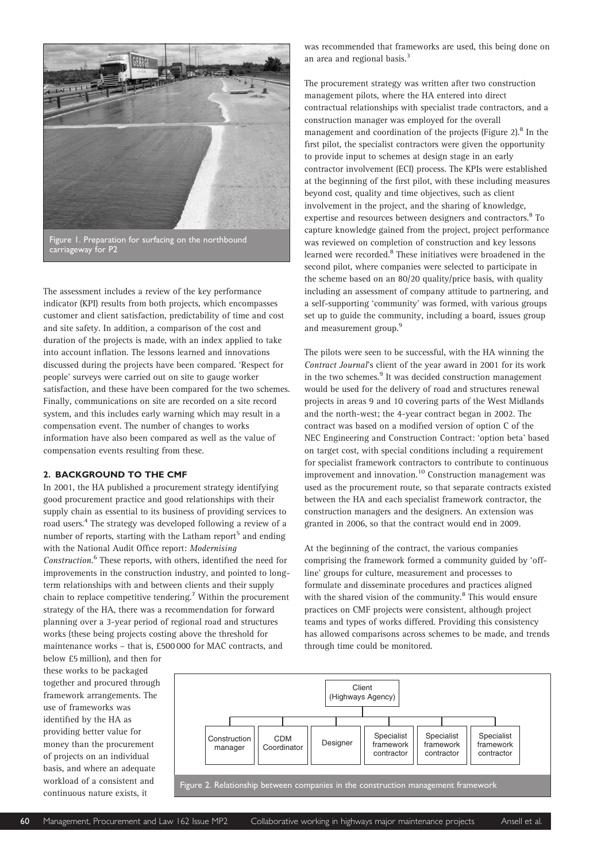<span id="page-1-0"></span>

Figure 1. Preparation for surfacing on the northbound carriageway for P2

The assessment includes a review of the key performance indicator (KPI) results from both projects, which encompasses customer and client satisfaction, predictability of time and cost and site safety. In addition, a comparison of the cost and duration of the projects is made, with an index applied to take into account inflation. The lessons learned and innovations discussed during the projects have been compared. 'Respect for people' surveys were carried out on site to gauge worker satisfaction, and these have been compared for the two schemes. Finally, communications on site are recorded on a site record system, and this includes early warning which may result in a compensation event. The number of changes to works information have also been compared as well as the value of compensation events resulting from these.

# 2. BACKGROUND TO THE CMF

In 2001, the HA published a procurement strategy identifying good procurement practice and good relationships with their supply chain as essential to its business of providing services to road [users.](#page-7-0)<sup>4</sup> The strategy was developed following a review of a number of repo[rt](#page-7-0)s, starting with the Latham report<sup>5</sup> and ending with the National Audit Office report: Modernising Construction.<sup>[6](#page-7-0)</sup> These reports, with others, identified the need for improvements in the construction industry, and pointed to longterm relationships with and between clients and their supply chain to replace competitive tenderin[g.](#page-7-0)<sup>7</sup> Within the procurement strategy of the HA, there was a recommendation for forward planning over a 3-year period of regional road and structures works (these being projects costing above the threshold for maintenance works – that is, £500 000 for MAC contracts, and

below £5 million), and then for these works to be packaged together and procured through framework arrangements. The use of frameworks was identified by the HA as providing better value for money than the procurement of projects on an individual basis, and where an adequate workload of a consistent and continuous nature exists, it

was recommended that frameworks are used, this being done on an area and regional basi[s.](#page-7-0)<sup>3</sup>

The procurement strategy was written after two construction management pilots, where the HA entered into direct contractual relationships with specialist trade contractors, and a construction manager was employed for the overall management and coordination of the projects (Figure 2). $8$  In the first pilot, the specialist contractors were given the opportunity to provide input to schemes at design stage in an early contractor involvement (ECI) process. The KPIs were established at the beginning of the first pilot, with these including measures beyond cost, quality and time objectives, such as client involvement in the project, and the sharing of knowledge, expertise and resources between designers and contractors.<sup>[8](#page-7-0)</sup> To capture knowledge gained from the project, project performance was reviewed on completion of construction and key lessons learned were [recorded.](#page-7-0)<sup>8</sup> These initiatives were broadened in the second pilot, where companies were selected to participate in the scheme based on an 80/20 quality/price basis, with quality including an assessment of company attitude to partnering, and a self-supporting 'community' was formed, with various groups set up to guide the community, including a board, issues group and measurement group.<sup>9</sup>

The pilots were seen to be successful, with the HA winning the Contract Journal's client of the year award in 2001 for its work in the two schemes.<sup>[9](#page-7-0)</sup> It was decided construction management would be used for the delivery of road and structures renewal projects in areas 9 and 10 covering parts of the West Midlands and the north-west; the 4-year contract began in 2002. The contract was based on a modified version of option C of the NEC Engineering and Construction Contract: 'option beta' based on target cost, with special conditions including a requirement for specialist framework contractors to contribute to continuous improvement and innovation.<sup>[10](#page-7-0)</sup> Construction management was used as the procurement route, so that separate contracts existed between the HA and each specialist framework contractor, the construction managers and the designers. An extension was granted in 2006, so that the contract would end in 2009.

At the beginning of the contract, the various companies comprising the framework formed a community guided by 'offline' groups for culture, measurement and processes to formulate and disseminate procedures and practices aligned with the shared vision of the communit[y.](#page-7-0)<sup>8</sup> This would ensure practices on CMF projects were consistent, although project teams and types of works differed. Providing this consistency has allowed comparisons across schemes to be made, and trends through time could be monitored.

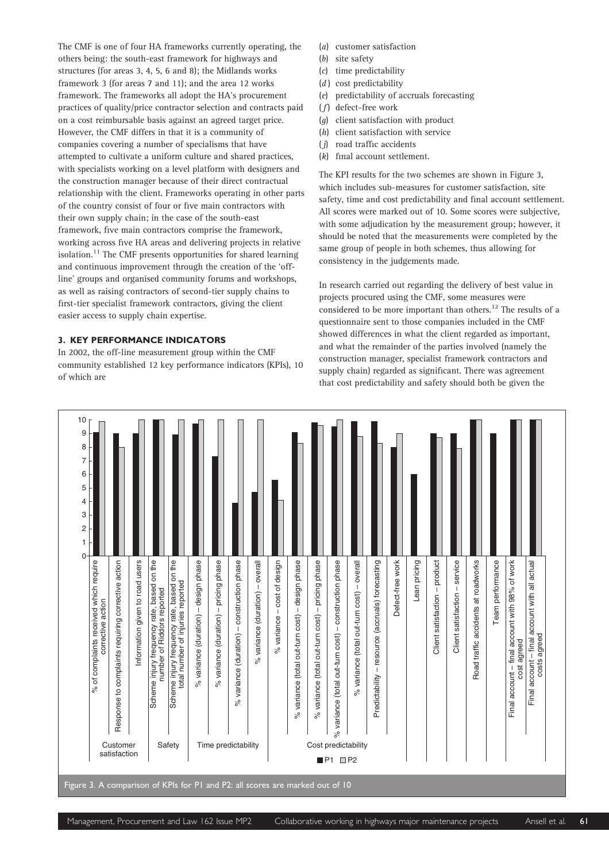<span id="page-2-0"></span>The CMF is one of four HA frameworks currently operating, the others being: the south-east framework for highways and structures (for areas 3, 4, 5, 6 and 8); the Midlands works framework 3 (for areas 7 and 11); and the area 12 works framework. The frameworks all adopt the HA's procurement practices of quality/price contractor selection and contracts paid on a cost reimbursable basis against an agreed target price. However, the CMF differs in that it is a community of companies covering a number of specialisms that have attempted to cultivate a uniform culture and shared practices, with specialists working on a level platform with designers and the construction manager because of their direct contractual relationship with the client. Frameworks operating in other parts of the country consist of four or five main contractors with their own supply chain; in the case of the south-east framework, five main contractors comprise the framework, working across five HA areas and delivering projects in relative isolation.<sup>[11](#page-7-0)</sup> The CMF presents opportunities for shared learning and continuous improvement through the creation of the 'offline' groups and organised community forums and workshops, as well as raising contractors of second-tier supply chains to first-tier specialist framework contractors, giving the client easier access to supply chain expertise.

#### 3. KEY PERFORMANCE INDICATORS

In 2002, the off-line measurement group within the CMF community established 12 key performance indicators (KPIs), 10 of which are

- (a) customer satisfaction
- (b) site safety
- (c) time predictability
- $(d)$  cost predictability
- (e) predictability of accruals forecasting
- $(f)$  defect-free work
- (a) client satisfaction with product
- (h) client satisfaction with service
- (*i*) road traffic accidents
- (k) final account settlement.

The KPI results for the two schemes are shown in Figure 3, which includes sub-measures for customer satisfaction, site safety, time and cost predictability and final account settlement. All scores were marked out of 10. Some scores were subjective, with some adjudication by the measurement group; however, it should be noted that the measurements were completed by the same group of people in both schemes, thus allowing for consistency in the judgements made.

In research carried out regarding the delivery of best value in projects procured using the CMF, some measures were considered to be more important than others.<sup>12</sup> The results of a questionnaire sent to those companies included in the CMF showed differences in what the client regarded as important, and what the remainder of the parties involved (namely the construction manager, specialist framework contractors and supply chain) regarded as significant. There was agreement that cost predictability and safety should both be given the

| 10<br>9<br>8<br>7<br>6<br>5<br>4<br>3<br>$\overline{c}$<br>1                                                           |                                 |                                                                          |                                                                                 |                                      |                                          |                                            |                                                            |                             |                                                                  |                                                     |                                                                                    |                                               |                                                     |                  |              |                                  |                                  |                                     |                  |                                                                  |                                                               |
|------------------------------------------------------------------------------------------------------------------------|---------------------------------|--------------------------------------------------------------------------|---------------------------------------------------------------------------------|--------------------------------------|------------------------------------------|--------------------------------------------|------------------------------------------------------------|-----------------------------|------------------------------------------------------------------|-----------------------------------------------------|------------------------------------------------------------------------------------|-----------------------------------------------|-----------------------------------------------------|------------------|--------------|----------------------------------|----------------------------------|-------------------------------------|------------------|------------------------------------------------------------------|---------------------------------------------------------------|
| 0<br>% of complaints received which require<br>Response to complaints requiring corrective action<br>corrective action | Information given to road users | Scheme injury frequency rate, based on the<br>number of Riddors reported | Scheme injury frequency rate, based on the<br>total number of injuries reported | % variance (duration) - design phase | pricing phase<br>% variance (duration) - | % variance (duration) - construction phase | overall<br>$\mathbf I$<br>variance (duration)<br>$\approx$ | % variance - cost of design | design phase<br>$\mathbf{I}$<br>% variance (total out-turn cost) | - pricing phase<br>% variance (total out-turn cost) | construction phase<br>$\overline{\phantom{a}}$<br>% variance (total out-turn cost) | - overall<br>% variance (total out-turn cost) | - resource (accruals) forecasting<br>Predictability | Defect-free work | Lean pricing | product<br>Client satisfaction - | service<br>Client satisfaction - | Road traffic accidents at roadworks | Team performance | Final account - final account with 98% of work<br>agreed<br>cost | Final account - final account with all actual<br>costs agreed |
|                                                                                                                        | Customer<br>satisfaction        |                                                                          | Safety                                                                          |                                      | Time predictability                      |                                            |                                                            |                             | Cost predictability<br>$P1$ $P2$                                 |                                                     |                                                                                    |                                               |                                                     |                  |              |                                  |                                  |                                     |                  |                                                                  |                                                               |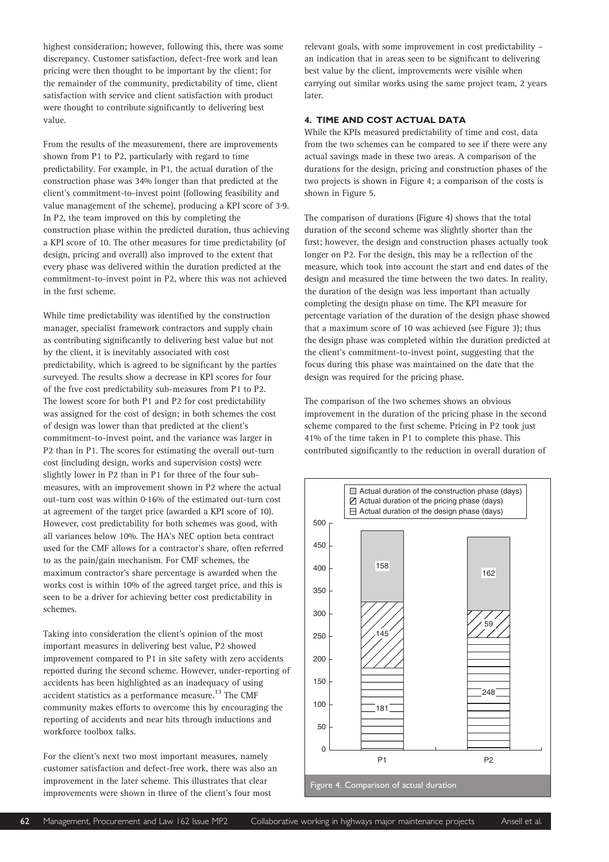highest consideration; however, following this, there was some discrepancy. Customer satisfaction, defect-free work and lean pricing were then thought to be important by the client; for the remainder of the community, predictability of time, client satisfaction with service and client satisfaction with product were thought to contribute significantly to delivering best value.

From the results of the measurement, there are improvements shown from P1 to P2, particularly with regard to time predictability. For example, in P1, the actual duration of the construction phase was 34% longer than that predicted at the client's commitment-to-invest point (following feasibility and value management of the scheme), producing a KPI score of 3.9. In P2, the team improved on this by completing the construction phase within the predicted duration, thus achieving a KPI score of 10. The other measures for time predictability (of design, pricing and overall) also improved to the extent that every phase was delivered within the duration predicted at the commitment-to-invest point in P2, where this was not achieved in the first scheme.

While time predictability was identified by the construction manager, specialist framework contractors and supply chain as contributing significantly to delivering best value but not by the client, it is inevitably associated with cost predictability, which is agreed to be significant by the parties surveyed. The results show a decrease in KPI scores for four of the five cost predictability sub-measures from P1 to P2. The lowest score for both P1 and P2 for cost predictability was assigned for the cost of design; in both schemes the cost of design was lower than that predicted at the client's commitment-to-invest point, and the variance was larger in P2 than in P1. The scores for estimating the overall out-turn cost (including design, works and supervision costs) were slightly lower in P2 than in P1 for three of the four submeasures, with an improvement shown in P2 where the actual out-turn cost was within 0.16% of the estimated out-turn cost at agreement of the target price (awarded a KPI score of 10). However, cost predictability for both schemes was good, with all variances below 10%. The HA's NEC option beta contract used for the CMF allows for a contractor's share, often referred to as the pain/gain mechanism. For CMF schemes, the maximum contractor's share percentage is awarded when the works cost is within 10% of the agreed target price, and this is seen to be a driver for achieving better cost predictability in schemes.

Taking into consideration the client's opinion of the most important measures in delivering best value, P2 showed improvement compared to P1 in site safety with zero accidents reported during the second scheme. However, under-reporting of accidents has been highlighted as an inadequacy of using accident statistics as a performance measure.<sup>[13](#page-8-0)</sup> The CMF community makes efforts to overcome this by encouraging the reporting of accidents and near hits through inductions and workforce toolbox talks.

For the client's next two most important measures, namely customer satisfaction and defect-free work, there was also an improvement in the later scheme. This illustrates that clear improvements were shown in three of the client's four most

relevant goals, with some improvement in cost predictability – an indication that in areas seen to be significant to delivering best value by the client, improvements were visible when carrying out similar works using the same project team, 2 years later.

# 4. TIME AND COST ACTUAL DATA

While the KPIs measured predictability of time and cost, data from the two schemes can be compared to see if there were any actual savings made in these two areas. A comparison of the durations for the design, pricing and construction phases of the two projects is shown in Figure 4; a comparison of the costs is shown in [Figure](#page-4-0) 5.

The comparison of durations (Figure 4) shows that the total duration of the second scheme was slightly shorter than the first; however, the design and construction phases actually took longer on P2. For the design, this may be a reflection of the measure, which took into account the start and end dates of the design and measured the time between the two dates. In reality, the duration of the design was less important than actually completing the design phase on time. The KPI measure for percentage variation of the duration of the design phase showed that a maximum score of 10 was achieved (see [Figure](#page-2-0) 3); thus the design phase was completed within the duration predicted at the client's commitment-to-invest point, suggesting that the focus during this phase was maintained on the date that the design was required for the pricing phase.

The comparison of the two schemes shows an obvious improvement in the duration of the pricing phase in the second scheme compared to the first scheme. Pricing in P2 took just 41% of the time taken in P1 to complete this phase. This contributed significantly to the reduction in overall duration of

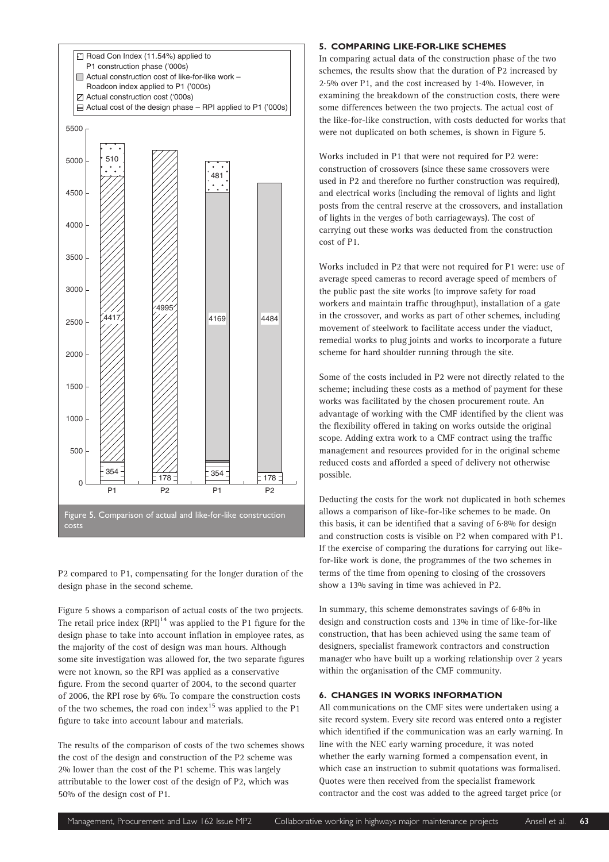<span id="page-4-0"></span>

P2 compared to P1, compensating for the longer duration of the design phase in the second scheme.

Figure 5 shows a comparison of actual costs of the two projects. The retail price index  $(RPI)^{14}$  $(RPI)^{14}$  $(RPI)^{14}$  was applied to the P1 figure for the design phase to take into account inflation in employee rates, as the majority of the cost of design was man hours. Although some site investigation was allowed for, the two separate figures were not known, so the RPI was applied as a conservative figure. From the second quarter of 2004, to the second quarter of 2006, the RPI rose by 6%. To compare the construction costs of the two schemes, the road con index<sup>[15](#page-8-0)</sup> was applied to the P1 figure to take into account labour and materials.

The results of the comparison of costs of the two schemes shows the cost of the design and construction of the P2 scheme was 2% lower than the cost of the P1 scheme. This was largely attributable to the lower cost of the design of P2, which was 50% of the design cost of P1.

#### 5. COMPARING LIKE-FOR-LIKE SCHEMES

In comparing actual data of the construction phase of the two schemes, the results show that the duration of P2 increased by 2. 5% over P1, and the cost increased by 1. 4%. However, in examining the breakdown of the construction costs, there were some differences between the two projects. The actual cost of the like-for-like construction, with costs deducted for works that were not duplicated on both schemes, is shown in Figure 5.

Works included in P1 that were not required for P2 were: construction of crossovers (since these same crossovers were used in P2 and therefore no further construction was required), and electrical works (including the removal of lights and light posts from the central reserve at the crossovers, and installation of lights in the verges of both carriageways). The cost of carrying out these works was deducted from the construction cost of P1.

Works included in P2 that were not required for P1 were: use of average speed cameras to record average speed of members of the public past the site works (to improve safety for road workers and maintain traffic throughput), installation of a gate in the crossover, and works as part of other schemes, including movement of steelwork to facilitate access under the viaduct, remedial works to plug joints and works to incorporate a future scheme for hard shoulder running through the site.

Some of the costs included in P2 were not directly related to the scheme; including these costs as a method of payment for these works was facilitated by the chosen procurement route. An advantage of working with the CMF identified by the client was the flexibility offered in taking on works outside the original scope. Adding extra work to a CMF contract using the traffic management and resources provided for in the original scheme reduced costs and afforded a speed of delivery not otherwise possible.

Deducting the costs for the work not duplicated in both schemes allows a comparison of like-for-like schemes to be made. On this basis, it can be identified that a saving of 6. 8% for design and construction costs is visible on P2 when compared with P1. If the exercise of comparing the durations for carrying out likefor-like work is done, the programmes of the two schemes in terms of the time from opening to closing of the crossovers show a 13% saving in time was achieved in P2.

In summary, this scheme demonstrates savings of 6.8% in design and construction costs and 13% in time of like-for-like construction, that has been achieved using the same team of designers, specialist framework contractors and construction manager who have built up a working relationship over 2 years within the organisation of the CMF community.

# 6. CHANGES IN WORKS INFORMATION

All communications on the CMF sites were undertaken using a site record system. Every site record was entered onto a register which identified if the communication was an early warning. In line with the NEC early warning procedure, it was noted whether the early warning formed a compensation event, in which case an instruction to submit quotations was formalised. Quotes were then received from the specialist framework contractor and the cost was added to the agreed target price (or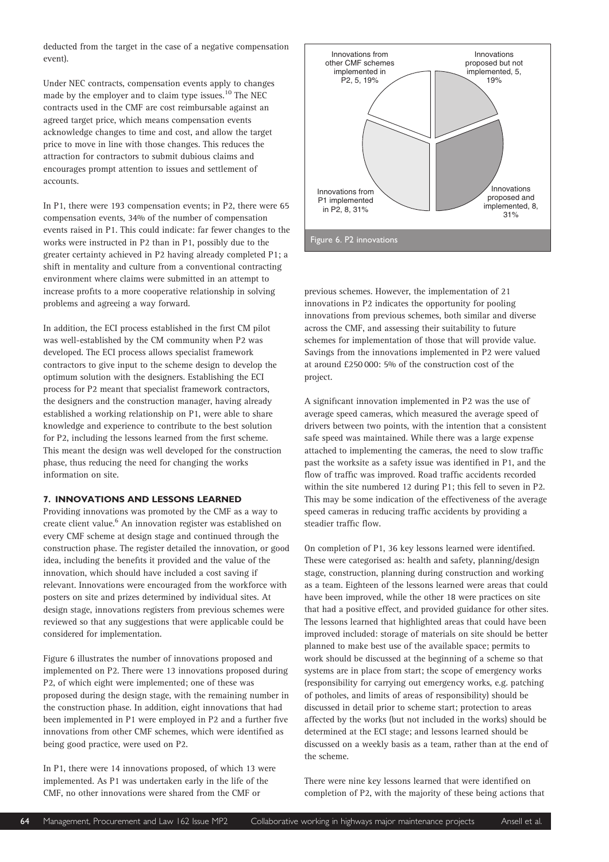deducted from the target in the case of a negative compensation event).

Under NEC contracts, compensation events apply to changes made by the employer and to claim type issues.<sup>[10](#page-7-0)</sup> The NEC contracts used in the CMF are cost reimbursable against an agreed target price, which means compensation events acknowledge changes to time and cost, and allow the target price to move in line with those changes. This reduces the attraction for contractors to submit dubious claims and encourages prompt attention to issues and settlement of accounts.

In P1, there were 193 compensation events; in P2, there were 65 compensation events, 34% of the number of compensation events raised in P1. This could indicate: far fewer changes to the works were instructed in P2 than in P1, possibly due to the greater certainty achieved in P2 having already completed P1; a shift in mentality and culture from a conventional contracting environment where claims were submitted in an attempt to increase profits to a more cooperative relationship in solving problems and agreeing a way forward.

In addition, the ECI process established in the first CM pilot was well-established by the CM community when P2 was developed. The ECI process allows specialist framework contractors to give input to the scheme design to develop the optimum solution with the designers. Establishing the ECI process for P2 meant that specialist framework contractors, the designers and the construction manager, having already established a working relationship on P1, were able to share knowledge and experience to contribute to the best solution for P2, including the lessons learned from the first scheme. This meant the design was well developed for the construction phase, thus reducing the need for changing the works information on site.

#### 7. INNOVATIONS AND LESSONS LEARNED

Providing innovations was promoted by the CMF as a way to create client value.<sup>6</sup> An innovation register was established on every CMF scheme at design stage and continued through the construction phase. The register detailed the innovation, or good idea, including the benefits it provided and the value of the innovation, which should have included a cost saving if relevant. Innovations were encouraged from the workforce with posters on site and prizes determined by individual sites. At design stage, innovations registers from previous schemes were reviewed so that any suggestions that were applicable could be considered for implementation.

Figure 6 illustrates the number of innovations proposed and implemented on P2. There were 13 innovations proposed during P2, of which eight were implemented; one of these was proposed during the design stage, with the remaining number in the construction phase. In addition, eight innovations that had been implemented in P1 were employed in P2 and a further five innovations from other CMF schemes, which were identified as being good practice, were used on P2.

In P1, there were 14 innovations proposed, of which 13 were implemented. As P1 was undertaken early in the life of the CMF, no other innovations were shared from the CMF or



previous schemes. However, the implementation of 21 innovations in P2 indicates the opportunity for pooling innovations from previous schemes, both similar and diverse across the CMF, and assessing their suitability to future schemes for implementation of those that will provide value. Savings from the innovations implemented in P2 were valued at around £250 000: 5% of the construction cost of the project.

A significant innovation implemented in P2 was the use of average speed cameras, which measured the average speed of drivers between two points, with the intention that a consistent safe speed was maintained. While there was a large expense attached to implementing the cameras, the need to slow traffic past the worksite as a safety issue was identified in P1, and the flow of traffic was improved. Road traffic accidents recorded within the site numbered 12 during P1; this fell to seven in P2. This may be some indication of the effectiveness of the average speed cameras in reducing traffic accidents by providing a steadier traffic flow.

On completion of P1, 36 key lessons learned were identified. These were categorised as: health and safety, planning/design stage, construction, planning during construction and working as a team. Eighteen of the lessons learned were areas that could have been improved, while the other 18 were practices on site that had a positive effect, and provided guidance for other sites. The lessons learned that highlighted areas that could have been improved included: storage of materials on site should be better planned to make best use of the available space; permits to work should be discussed at the beginning of a scheme so that systems are in place from start; the scope of emergency works (responsibility for carrying out emergency works, e.g. patching of potholes, and limits of areas of responsibility) should be discussed in detail prior to scheme start; protection to areas affected by the works (but not included in the works) should be determined at the ECI stage; and lessons learned should be discussed on a weekly basis as a team, rather than at the end of the scheme.

There were nine key lessons learned that were identified on completion of P2, with the majority of these being actions that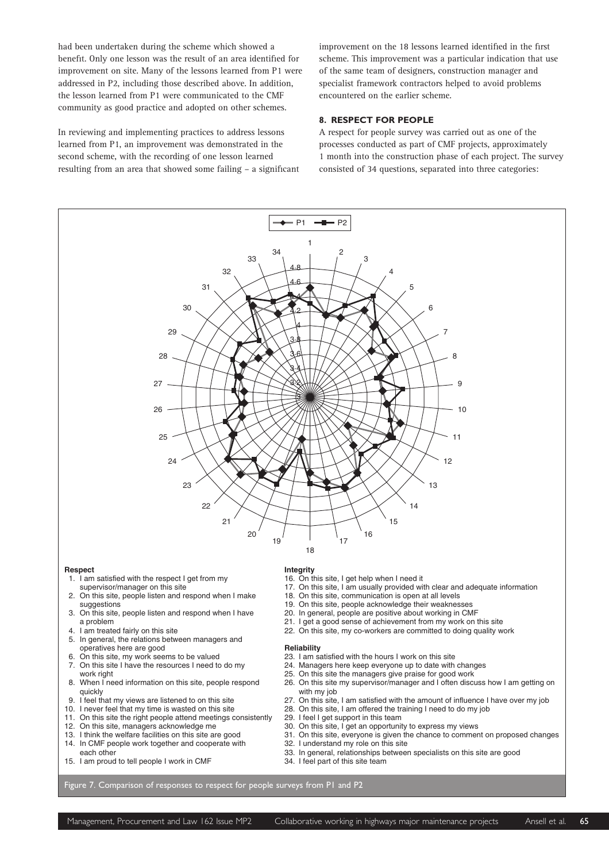<span id="page-6-0"></span>had been undertaken during the scheme which showed a benefit. Only one lesson was the result of an area identified for improvement on site. Many of the lessons learned from P1 were addressed in P2, including those described above. In addition, the lesson learned from P1 were communicated to the CMF community as good practice and adopted on other schemes.

In reviewing and implementing practices to address lessons learned from P1, an improvement was demonstrated in the second scheme, with the recording of one lesson learned resulting from an area that showed some failing – a significant improvement on the 18 lessons learned identified in the first scheme. This improvement was a particular indication that use of the same team of designers, construction manager and specialist framework contractors helped to avoid problems encountered on the earlier scheme.

## 8. RESPECT FOR PEOPLE

A respect for people survey was carried out as one of the processes conducted as part of CMF projects, approximately 1 month into the construction phase of each project. The survey consisted of 34 questions, separated into three categories:



- 15. I am proud to tell people I work in CMF
- 34. I feel part of this site team

Figure 7. Comparison of responses to respect for people surveys from P1 and P2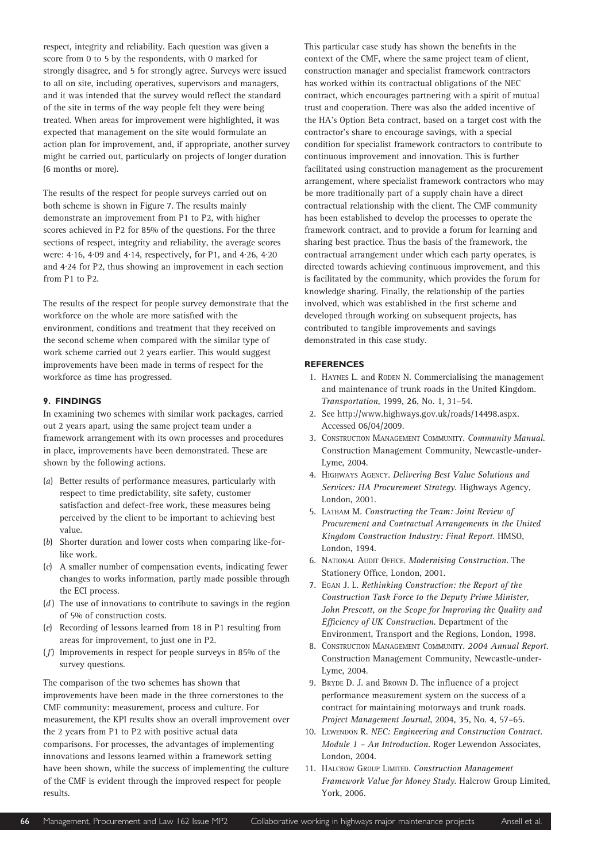<span id="page-7-0"></span>respect, integrity and reliability. Each question was given a score from 0 to 5 by the respondents, with 0 marked for strongly disagree, and 5 for strongly agree. Surveys were issued to all on site, including operatives, supervisors and managers, and it was intended that the survey would reflect the standard of the site in terms of the way people felt they were being treated. When areas for improvement were highlighted, it was expected that management on the site would formulate an action plan for improvement, and, if appropriate, another survey might be carried out, particularly on projects of longer duration (6 months or more).

The results of the respect for people surveys carried out on both scheme is shown in [Figure](#page-6-0) 7. The results mainly demonstrate an improvement from P1 to P2, with higher scores achieved in P2 for 85% of the questions. For the three sections of respect, integrity and reliability, the average scores were: 4.16, 4.09 and 4.14, respectively, for P1, and 4.26, 4.20 and 4. 24 for P2, thus showing an improvement in each section from P1 to P2.

The results of the respect for people survey demonstrate that the workforce on the whole are more satisfied with the environment, conditions and treatment that they received on the second scheme when compared with the similar type of work scheme carried out 2 years earlier. This would suggest improvements have been made in terms of respect for the workforce as time has progressed.

# 9. FINDINGS

In examining two schemes with similar work packages, carried out 2 years apart, using the same project team under a framework arrangement with its own processes and procedures in place, improvements have been demonstrated. These are shown by the following actions.

- (a) Better results of performance measures, particularly with respect to time predictability, site safety, customer satisfaction and defect-free work, these measures being perceived by the client to be important to achieving best value.
- (b) Shorter duration and lower costs when comparing like-forlike work.
- (c) A smaller number of compensation events, indicating fewer changes to works information, partly made possible through the ECI process.
- $(d)$  The use of innovations to contribute to savings in the region of 5% of construction costs.
- (e) Recording of lessons learned from 18 in P1 resulting from areas for improvement, to just one in P2.
- $(f)$  Improvements in respect for people surveys in 85% of the survey questions.

The comparison of the two schemes has shown that improvements have been made in the three cornerstones to the CMF community: measurement, process and culture. For measurement, the KPI results show an overall improvement over the 2 years from P1 to P2 with positive actual data comparisons. For processes, the advantages of implementing innovations and lessons learned within a framework setting have been shown, while the success of implementing the culture of the CMF is evident through the improved respect for people results.

This particular case study has shown the benefits in the context of the CMF, where the same project team of client, construction manager and specialist framework contractors has worked within its contractual obligations of the NEC contract, which encourages partnering with a spirit of mutual trust and cooperation. There was also the added incentive of the HA's Option Beta contract, based on a target cost with the contractor's share to encourage savings, with a special condition for specialist framework contractors to contribute to continuous improvement and innovation. This is further facilitated using construction management as the procurement arrangement, where specialist framework contractors who may be more traditionally part of a supply chain have a direct contractual relationship with the client. The CMF community has been established to develop the processes to operate the framework contract, and to provide a forum for learning and sharing best practice. Thus the basis of the framework, the contractual arrangement under which each party operates, is directed towards achieving continuous improvement, and this is facilitated by the community, which provides the forum for knowledge sharing. Finally, the relationship of the parties involved, which was established in the first scheme and developed through working on subsequent projects, has contributed to tangible improvements and savings demonstrated in this case study.

#### **REFERENCES**

- 1. HAYNES L. and RODEN N. Commercialising the management and maintenance of trunk roads in the United Kingdom. Transportation, 1999, 26, No. 1, 31–54.
- 2. See http://www.highways.gov.uk/roads/14498.aspx. Accessed 06/04/2009.
- 3. CONSTRUCTION MANAGEMENT COMMUNITY. Community Manual. Construction Management Community, Newcastle-under-Lyme, 2004.
- 4. HIGHWAYS AGENCY. Delivering Best Value Solutions and Services: HA Procurement Strategy. Highways Agency, London, 2001.
- 5. LATHAM M. Constructing the Team: Joint Review of Procurement and Contractual Arrangements in the United Kingdom Construction Industry: Final Report. HMSO, London, 1994.
- 6. NATIONAL AUDIT OFFICE. Modernising Construction. The Stationery Office, London, 2001.
- 7. EGAN J. L. Rethinking Construction: the Report of the Construction Task Force to the Deputy Prime Minister, John Prescott, on the Scope for Improving the Quality and Efficiency of UK Construction. Department of the Environment, Transport and the Regions, London, 1998.
- 8. CONSTRUCTION MANAGEMENT COMMUNITY. 2004 Annual Report. Construction Management Community, Newcastle-under-Lyme, 2004.
- 9. BRYDE D. J. and BROWN D. The influence of a project performance measurement system on the success of a contract for maintaining motorways and trunk roads. Project Management Journal, 2004, 35, No. 4, 57–65.
- 10. LEWENDON R. NEC: Engineering and Construction Contract. Module 1 – An Introduction. Roger Lewendon Associates, London, 2004.
- 11. HALCROW GROUP LIMITED. Construction Management Framework Value for Money Study. Halcrow Group Limited, York, 2006.